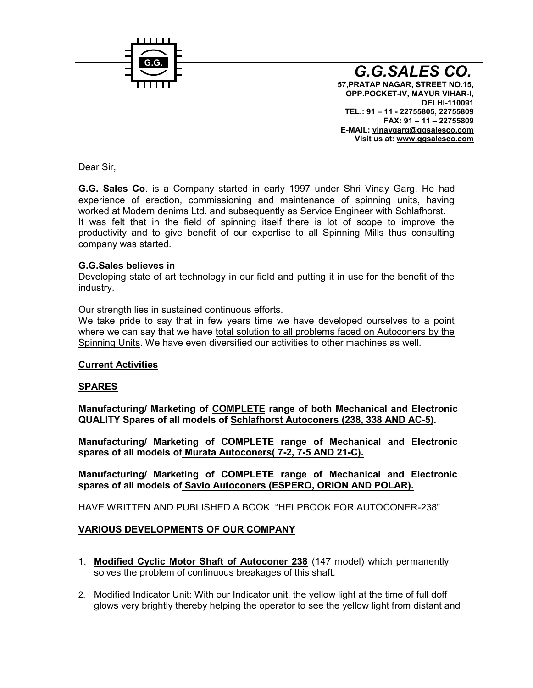

G.G.SALES CO. 57,PRATAP NAGAR, STREET NO.15, OPP.POCKET MAYUR VII, HAR  $DEL$   $H110091$ TEL.: 911-22755805, 22755809 FAX: 9111 22755809  $E-MAILxinaygarg@ggsaleso.com$ Visit us wawt w.ggsalesco.com

Dear Sir,

G.G. Sales iGoa Company started in early 1997 under a Shri Vinay experience of erection, commissioning and maintenance of spir worked at Modern denims Ltd. and subsequently as Service Engine It was felt that in the field of spinning itself there is lot of productivity and to give benefit of our expertise to all Spinning company was started.

G.G.Sales believes in Developing state of art technology in our field and putting it in u industry.

Our strength slists imed continuous efforts. We take pride to say that in few years time we have developed where we can say theot awle sho all problems faced on Autoconers by the solution of the solution of where  $w$ Spinning UWieshave even diversifised oo otheet invator bines as well.

Current Activities

SPARES

Manufacturing/ MarkCeODiMhere LoEfile Fange of blootbanical and Electronic QUALITY Spares of all Smob blaefils oo st Auto (c203h&, r\$38 AN5D) AC

Manufacturing/ Marketing of COMPLEMEE hamaning and Electronic spares of all motModertata Autocon2e.ra3(AND-21).

Manufacturing/ Marketing of COMPLETE range of Mechanical a spares of all mot Staviso Autoconers (ESPERO, ORION AND POLAR).

HAVE WRITTEN ANNEWENDEA BOOK HEKLPBOROAUTOCONSEER

VARIOUS DEVELOPOMENTUSR COMPANY

- 1. Modified Cyclic Motor Shaft of A1u4 of condell 23 which permanently solves the problem of continuous breakages of this shaft.
- 2. Modified Indicator Unit: Writuhn otur the dyeal tow light at the time of f glows very brightly thereby helping the operator to see the yellow